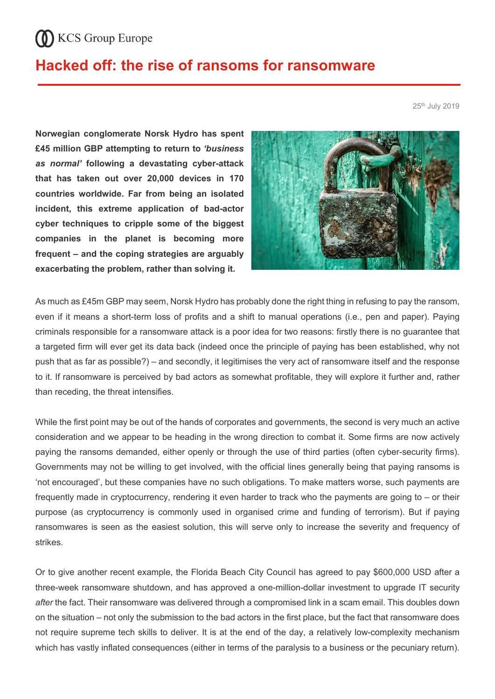## **CO** KCS Group Europe

## **Hacked off: the rise of ransoms for ransomware**

25th July 2019

**Norwegian conglomerate Norsk Hydro has spent £45 million GBP attempting to return to** *'business as normal'* **following a devastating cyber-attack that has taken out over 20,000 devices in 170 countries worldwide. Far from being an isolated incident, this extreme application of bad-actor cyber techniques to cripple some of the biggest companies in the planet is becoming more frequent – and the coping strategies are arguably exacerbating the problem, rather than solving it.** 



As much as £45m GBP may seem, Norsk Hydro has probably done the right thing in refusing to pay the ransom, even if it means a short-term loss of profits and a shift to manual operations (i.e., pen and paper). Paying criminals responsible for a ransomware attack is a poor idea for two reasons: firstly there is no guarantee that a targeted firm will ever get its data back (indeed once the principle of paying has been established, why not push that as far as possible?) – and secondly, it legitimises the very act of ransomware itself and the response to it. If ransomware is perceived by bad actors as somewhat profitable, they will explore it further and, rather than receding, the threat intensifies.

While the first point may be out of the hands of corporates and governments, the second is very much an active consideration and we appear to be heading in the wrong direction to combat it. Some firms are now actively paying the ransoms demanded, either openly or through the use of third parties (often cyber-security firms). Governments may not be willing to get involved, with the official lines generally being that paying ransoms is 'not encouraged', but these companies have no such obligations. To make matters worse, such payments are frequently made in cryptocurrency, rendering it even harder to track who the payments are going to – or their purpose (as cryptocurrency is commonly used in organised crime and funding of terrorism). But if paying ransomwares is seen as the easiest solution, this will serve only to increase the severity and frequency of strikes.

Or to give another recent example, the Florida Beach City Council has agreed to pay \$600,000 USD after a three-week ransomware shutdown, and has approved a one-million-dollar investment to upgrade IT security *after* the fact. Their ransomware was delivered through a compromised link in a scam email. This doubles down on the situation – not only the submission to the bad actors in the first place, but the fact that ransomware does not require supreme tech skills to deliver. It is at the end of the day, a relatively low-complexity mechanism which has vastly inflated consequences (either in terms of the paralysis to a business or the pecuniary return).